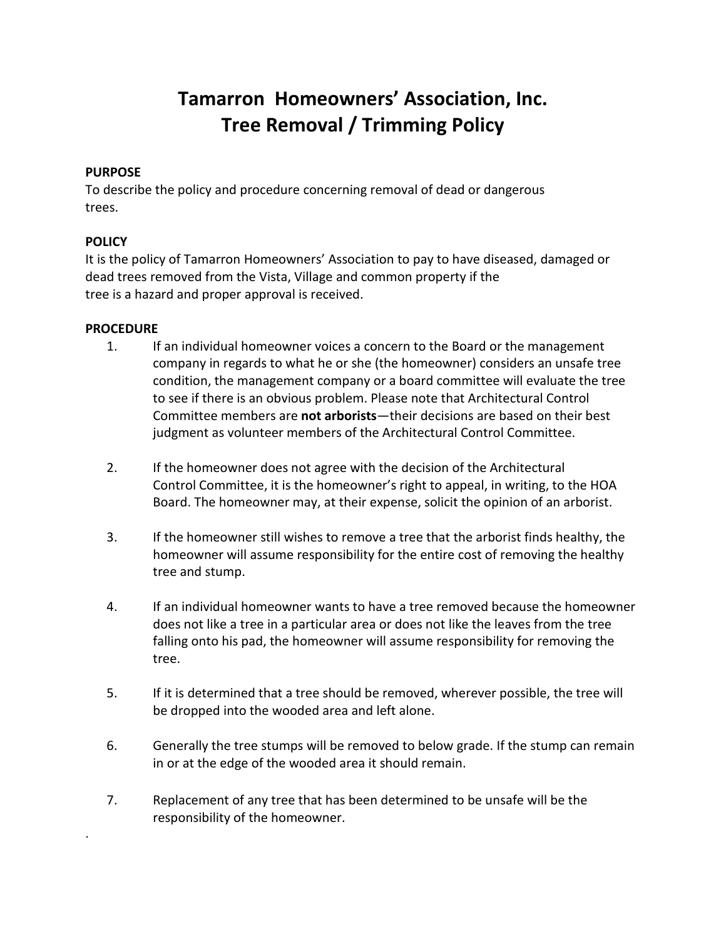# **Tamarron Homeowners' Association, Inc. Tree Removal / Trimming Policy**

## **PURPOSE**

To describe the policy and procedure concerning removal of dead or dangerous trees.

## **POLICY**

It is the policy of Tamarron Homeowners' Association to pay to have diseased, damaged or dead trees removed from the Vista, Village and common property if the tree is a hazard and proper approval is received.

### **PROCEDURE**

.

- 1. If an individual homeowner voices a concern to the Board or the management company in regards to what he or she (the homeowner) considers an unsafe tree condition, the management company or a board committee will evaluate the tree to see if there is an obvious problem. Please note that Architectural Control Committee members are **not arborists**—their decisions are based on their best judgment as volunteer members of the Architectural Control Committee.
- 2. If the homeowner does not agree with the decision of the Architectural Control Committee, it is the homeowner's right to appeal, in writing, to the HOA Board. The homeowner may, at their expense, solicit the opinion of an arborist.
- 3. If the homeowner still wishes to remove a tree that the arborist finds healthy, the homeowner will assume responsibility for the entire cost of removing the healthy tree and stump.
- 4. If an individual homeowner wants to have a tree removed because the homeowner does not like a tree in a particular area or does not like the leaves from the tree falling onto his pad, the homeowner will assume responsibility for removing the tree.
- 5. If it is determined that a tree should be removed, wherever possible, the tree will be dropped into the wooded area and left alone.
- 6. Generally the tree stumps will be removed to below grade. If the stump can remain in or at the edge of the wooded area it should remain.
- 7. Replacement of any tree that has been determined to be unsafe will be the responsibility of the homeowner.